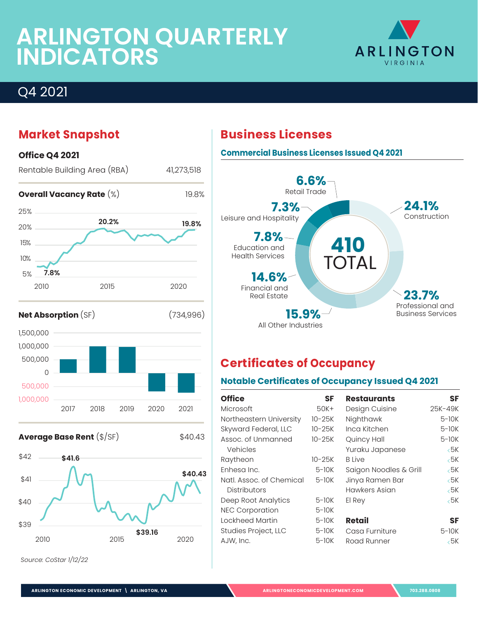# **ARLINGTON QUARTERLY INDICATORS**



### **Market Snapshot**







*Source: CoStar 1/12/22*

### **Commercial Business Licenses Issued Q4 2021 6.6%** Retail Trade



### **Certificates of Occupancy**

### **Notable Certificates of Occupancy Issued Q4 2021**

| <b>Office</b>            | <b>SF</b> | <b>Restaurants</b>     | <b>SF</b>     |
|--------------------------|-----------|------------------------|---------------|
| Microsoft                | $50K+$    | Design Cuisine         | 25K-49K       |
| Northeastern University  | $10-25K$  | Nighthawk              | $5-10K$       |
| Skyward Federal, LLC     | $10-25K$  | Inca Kitchen           | $5-10K$       |
| Assoc. of Unmanned       | $10-25K$  | Quincy Hall            | $5-10K$       |
| Vehicles                 |           | Yuraku Japanese        | ←5K           |
| Raytheon                 | $10-25K$  | <b>B</b> Live          | $\epsilon$ 5K |
| Enhesa Inc.              | $5-10K$   | Saigon Noodles & Grill | ←5K           |
| Natl. Assoc. of Chemical | 5-10K     | Jinya Ramen Bar        | ←5K           |
| <b>Distributors</b>      |           | Hawkers Asian          | $\epsilon$ 5K |
| Deep Root Analytics      | $5-10K$   | El Rey                 | $\epsilon$ 5K |
| <b>NEC Corporation</b>   | $5-10K$   |                        |               |
| Lockheed Martin          | $5-10K$   | Retail                 | SF            |
| Studies Project, LLC     | $5-10K$   | Casa Furniture         | 5-10K         |
| AJW, Inc.                | $5-10K$   | Road Runner            | ←5K           |
|                          |           |                        |               |

### **Business Licenses**

**ARLINGTON ECONOMIC DEVELOPMENT \ ARLINGTON, VA [ARLINGTONECONOMICDEVELOPMENT.COM](https://www.arlingtoneconomicdevelopment.com/Home) 703.288.0808**

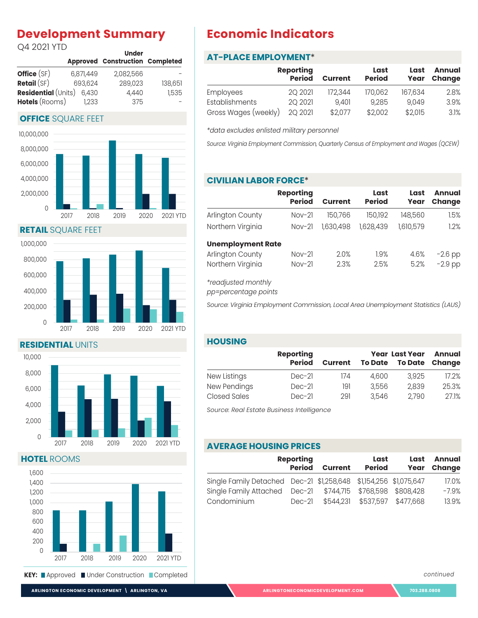### **Development Summary**

Q4 2021 YTD

|                            |           | <b>Under</b>                           |         |
|----------------------------|-----------|----------------------------------------|---------|
|                            |           | <b>Approved Construction Completed</b> |         |
| Office (SF)                | 6,871,449 | 2.082.566                              |         |
| Retail(SF)                 | 693,624   | 289,023                                | 138,651 |
| <b>Residential (Units)</b> | 6.430     | 4,440                                  | 1,535   |
| <b>Hotels</b> (Rooms)      | 1.233     | 375                                    |         |

#### **OFFICE** SQUARE FEET



**RETAIL** SQUARE FEET



**RESIDENTIAL** UNITS



**HOTEL** ROOMS



### **Economic Indicators**

#### **AT-PLACE EMPLOYMENT**\*

|                      | <b>Reporting</b><br><b>Period</b> | <b>Current</b> | Last<br><b>Period</b> | Last<br>Year | <b>Annual</b><br>Change |
|----------------------|-----------------------------------|----------------|-----------------------|--------------|-------------------------|
| Employees            | 20 20 21                          | 172.344        | 170,062               | 167,634      | 2.8%                    |
| Establishments       | 2Q 2021                           | 9.401          | 9,285                 | 9.049        | 3.9%                    |
| Gross Wages (weekly) | 2Q 2021                           | \$2,077        | \$2,002               | \$2,015      | 3.1%                    |

*\*data excludes enlisted military personnel*

*Source: Virginia Employment Commission, Quarterly Census of Employment and Wages (QCEW)*

#### **CIVILIAN LABOR FORCE**\*

|                          | <b>Reporting</b><br><b>Period</b> | <b>Current</b> | Last<br><b>Period</b> | Last<br>Year | Annual<br>Change |
|--------------------------|-----------------------------------|----------------|-----------------------|--------------|------------------|
| Arlington County         | $Nov-21$                          | 150,766        | 150,192               | 148,560      | 1.5%             |
| Northern Virginia        | $Nov-21$                          | 1,630,498      | 1,628,439             | 1,610,579    | 1.2%             |
| <b>Unemployment Rate</b> |                                   |                |                       |              |                  |
| Arlington County         | $Nov-21$                          | 2.0%           | 1.9%                  | 4.6%         | $-2.6$ pp        |
| Northern Virginia        | $Nov-21$                          | 2.3%           | 2.5%                  | 5.2%         | $-2.9$ pp        |

*\*readjusted monthly*

*pp=percentage points*

*Source: Virginia Employment Commission, Local Area Unemployment Statistics (LAUS)*

#### **HOUSING**

|                     | <b>Reporting</b> |                |                | <b>Year Last Year</b> |        |  |
|---------------------|------------------|----------------|----------------|-----------------------|--------|--|
|                     | <b>Period</b>    | <b>Current</b> | <b>To Date</b> | <b>To Date</b>        | Change |  |
| New Listings        | $Dec-21$         | 174            | 4.600          | 3,925                 | 17.2%  |  |
| New Pendings        | $Dec-21$         | 191            | 3,556          | 2,839                 | 25.3%  |  |
| <b>Closed Sales</b> | $Dec-21$         | 291            | 3.546          | 2,790                 | 27.1%  |  |

*Source: Real Estate Business Intelligence* 

#### **AVERAGE HOUSING PRICES**

| <b>Reporting</b>                                                  |               |                | Last          | Last                          | <b>Annual</b> |
|-------------------------------------------------------------------|---------------|----------------|---------------|-------------------------------|---------------|
|                                                                   | <b>Period</b> | <b>Current</b> | <b>Period</b> | Year                          | <b>Change</b> |
| Single Family Detached Dec-21 \$1,258,648 \$1,154,256 \$1,075,647 |               |                |               |                               | 17.0%         |
| Single Family Attached  Dec-21  \$744,715  \$768,598  \$808,428   |               |                |               |                               | $-7.9%$       |
| Condominium                                                       | $Dec-21$      |                |               | \$544,231 \$537,597 \$477,668 | 13.9%         |

*continued*